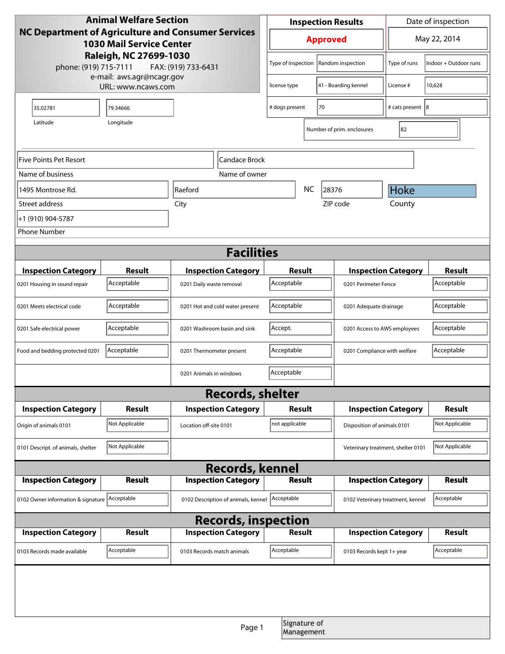| <b>Animal Welfare Section</b>                                                                                                                                   |                |                            |                                         | <b>Inspection Results</b>            |                                    |                                    | Date of inspection         |                |
|-----------------------------------------------------------------------------------------------------------------------------------------------------------------|----------------|----------------------------|-----------------------------------------|--------------------------------------|------------------------------------|------------------------------------|----------------------------|----------------|
| NC Department of Agriculture and Consumer Services<br><b>1030 Mail Service Center</b><br>Raleigh, NC 27699-1030<br>phone: (919) 715-7111<br>FAX: (919) 733-6431 |                |                            | <b>Approved</b>                         |                                      | May 22, 2014                       |                                    |                            |                |
|                                                                                                                                                                 |                |                            | Type of inspection<br>Random inspection |                                      | Type of runs                       | Indoor + Outdoor runs              |                            |                |
| e-mail: aws.agr@ncagr.gov<br>URL: www.ncaws.com                                                                                                                 |                |                            | license type                            | 41 - Boarding kennel                 |                                    | License #                          | 10,628                     |                |
| 35.02781                                                                                                                                                        | 79.34666       |                            |                                         | 70<br># dogs present                 |                                    | # cats present 8                   |                            |                |
| Latitude                                                                                                                                                        | Longitude      |                            |                                         |                                      |                                    | Number of prim. enclosures         | 82                         |                |
| Five Points Pet Resort<br>Candace Brock                                                                                                                         |                |                            |                                         |                                      |                                    |                                    |                            |                |
| Name of business                                                                                                                                                |                |                            | Name of owner                           |                                      |                                    |                                    |                            |                |
| 1495 Montrose Rd.                                                                                                                                               |                | Raeford                    |                                         | NC<br>28376                          |                                    |                                    | Hoke                       |                |
| Street address                                                                                                                                                  |                | City                       |                                         |                                      |                                    | ZIP code                           | County                     |                |
| +1 (910) 904-5787                                                                                                                                               |                |                            |                                         |                                      |                                    |                                    |                            |                |
| <b>Phone Number</b>                                                                                                                                             |                |                            |                                         |                                      |                                    |                                    |                            |                |
| <b>Facilities</b>                                                                                                                                               |                |                            |                                         |                                      |                                    |                                    |                            |                |
| <b>Inspection Category</b>                                                                                                                                      | <b>Result</b>  |                            | <b>Inspection Category</b>              | <b>Result</b>                        |                                    |                                    | <b>Inspection Category</b> | <b>Result</b>  |
| 0201 Housing in sound repair                                                                                                                                    | Acceptable     | 0201 Daily waste removal   |                                         |                                      | Acceptable<br>0201 Perimeter Fence |                                    |                            | Acceptable     |
| 0201 Meets electrical code                                                                                                                                      | Acceptable     |                            | 0201 Hot and cold water present         | Acceptable<br>0201 Adequate drainage |                                    |                                    | Acceptable                 |                |
| 0201 Safe electrical power                                                                                                                                      | Acceptable     |                            | 0201 Washroom basin and sink            | Accept.                              |                                    | 0201 Access to AWS employees       |                            | Acceptable     |
| Food and bedding protected 0201                                                                                                                                 | Acceptable     | 0201 Thermometer present   |                                         | Acceptable                           |                                    | 0201 Compliance with welfare       |                            | Acceptable     |
|                                                                                                                                                                 |                | 0201 Animals in windows    |                                         | Acceptable                           |                                    |                                    |                            |                |
| <b>Records, shelter</b>                                                                                                                                         |                |                            |                                         |                                      |                                    |                                    |                            |                |
| <b>Inspection Category</b>                                                                                                                                      | <b>Result</b>  |                            | <b>Inspection Category</b>              | Result                               |                                    | <b>Inspection Category</b>         |                            | <b>Result</b>  |
| Origin of animals 0101                                                                                                                                          | Not Applicable | Location off-site 0101     |                                         | not applicable                       |                                    | Disposition of animals 0101        |                            | Not Applicable |
| 0101 Descript. of animals, shelter                                                                                                                              | Not Applicable |                            |                                         |                                      |                                    | Veterinary treatment, shelter 0101 |                            | Not Applicable |
| <b>Records, kennel</b>                                                                                                                                          |                |                            |                                         |                                      |                                    |                                    |                            |                |
| <b>Inspection Category</b>                                                                                                                                      | Result         |                            | <b>Inspection Category</b>              | <b>Result</b>                        |                                    | <b>Inspection Category</b>         |                            | Result         |
| 0102 Owner information & signature Acceptable                                                                                                                   |                |                            | 0102 Description of animals, kennel     | Acceptable                           |                                    | 0102 Veterinary treatment, kennel  |                            | Acceptable     |
| <b>Records, inspection</b>                                                                                                                                      |                |                            |                                         |                                      |                                    |                                    |                            |                |
| <b>Inspection Category</b>                                                                                                                                      | <b>Result</b>  |                            | <b>Inspection Category</b>              | <b>Result</b>                        |                                    |                                    | <b>Inspection Category</b> | <b>Result</b>  |
| 0103 Records made available                                                                                                                                     | Acceptable     | 0103 Records match animals |                                         | Acceptable                           |                                    | 0103 Records kept 1+ year          |                            | Acceptable     |
|                                                                                                                                                                 |                |                            |                                         |                                      |                                    |                                    |                            |                |
|                                                                                                                                                                 |                |                            | Page 1                                  |                                      | Signature of<br>Management         |                                    |                            |                |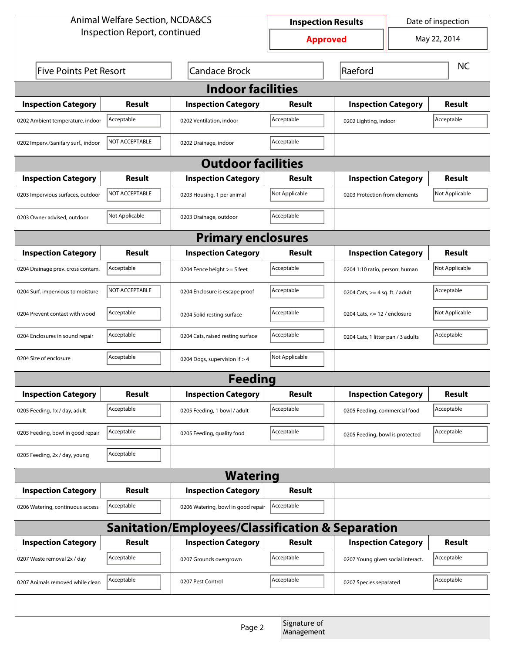| <b>Animal Welfare Section, NCDA&amp;CS</b>       |                              |                                    | Date of inspection<br><b>Inspection Results</b> |                                    |                                   |                |  |  |
|--------------------------------------------------|------------------------------|------------------------------------|-------------------------------------------------|------------------------------------|-----------------------------------|----------------|--|--|
|                                                  | Inspection Report, continued |                                    |                                                 | <b>Approved</b>                    |                                   | May 22, 2014   |  |  |
| <b>Five Points Pet Resort</b>                    |                              | <b>Candace Brock</b>               | Raeford                                         |                                    | <b>NC</b>                         |                |  |  |
| <b>Indoor facilities</b>                         |                              |                                    |                                                 |                                    |                                   |                |  |  |
| <b>Inspection Category</b>                       | Result                       | <b>Inspection Category</b>         | Result                                          | <b>Inspection Category</b>         |                                   | <b>Result</b>  |  |  |
| 0202 Ambient temperature, indoor                 | Acceptable                   | 0202 Ventilation, indoor           | Acceptable                                      | 0202 Lighting, indoor              |                                   | Acceptable     |  |  |
| 0202 Imperv./Sanitary surf., indoor              | NOT ACCEPTABLE               | 0202 Drainage, indoor              | Acceptable                                      |                                    |                                   |                |  |  |
| <b>Outdoor facilities</b>                        |                              |                                    |                                                 |                                    |                                   |                |  |  |
| <b>Inspection Category</b>                       | Result                       | <b>Inspection Category</b>         | Result                                          | <b>Inspection Category</b>         |                                   | <b>Result</b>  |  |  |
| 0203 Impervious surfaces, outdoor                | NOT ACCEPTABLE               | 0203 Housing, 1 per animal         | Not Applicable                                  |                                    | 0203 Protection from elements     |                |  |  |
| 0203 Owner advised, outdoor                      | Not Applicable               | 0203 Drainage, outdoor             | Acceptable                                      |                                    |                                   |                |  |  |
| <b>Primary enclosures</b>                        |                              |                                    |                                                 |                                    |                                   |                |  |  |
| <b>Inspection Category</b>                       | Result                       | <b>Inspection Category</b>         | Result                                          | <b>Inspection Category</b>         |                                   | Result         |  |  |
| 0204 Drainage prev. cross contam.                | Acceptable                   | 0204 Fence height >= 5 feet        | Acceptable                                      | 0204 1:10 ratio, person: human     |                                   | Not Applicable |  |  |
| 0204 Surf. impervious to moisture                | NOT ACCEPTABLE               | 0204 Enclosure is escape proof     | Acceptable                                      |                                    | 0204 Cats, $>=$ 4 sq. ft. / adult |                |  |  |
| 0204 Prevent contact with wood                   | Acceptable                   | 0204 Solid resting surface         | Acceptable                                      |                                    | 0204 Cats, $<= 12$ / enclosure    |                |  |  |
| 0204 Enclosures in sound repair                  | Acceptable                   | 0204 Cats, raised resting surface  | Acceptable                                      | 0204 Cats, 1 litter pan / 3 adults |                                   | Acceptable     |  |  |
| 0204 Size of enclosure                           | Acceptable                   | 0204 Dogs, supervision if > 4      | Not Applicable                                  |                                    |                                   |                |  |  |
| <b>Feeding</b>                                   |                              |                                    |                                                 |                                    |                                   |                |  |  |
| <b>Inspection Category</b>                       | <b>Result</b>                | <b>Inspection Category</b>         | <b>Result</b>                                   | <b>Inspection Category</b>         |                                   | <b>Result</b>  |  |  |
| 0205 Feeding, 1x / day, adult                    | Acceptable                   | 0205 Feeding, 1 bowl / adult       | Acceptable                                      | 0205 Feeding, commercial food      |                                   | Acceptable     |  |  |
| 0205 Feeding, bowl in good repair                | Acceptable                   | 0205 Feeding, quality food         | Acceptable                                      | 0205 Feeding, bowl is protected    |                                   | Acceptable     |  |  |
| 0205 Feeding, 2x / day, young                    | Acceptable                   |                                    |                                                 |                                    |                                   |                |  |  |
| <b>Watering</b>                                  |                              |                                    |                                                 |                                    |                                   |                |  |  |
| <b>Inspection Category</b>                       | <b>Result</b>                | <b>Inspection Category</b>         | <b>Result</b>                                   |                                    |                                   |                |  |  |
| 0206 Watering, continuous access                 | Acceptable                   | 0206 Watering, bowl in good repair | Acceptable                                      |                                    |                                   |                |  |  |
| Sanitation/Employees/Classification & Separation |                              |                                    |                                                 |                                    |                                   |                |  |  |
| <b>Inspection Category</b>                       | <b>Result</b>                | <b>Inspection Category</b>         | Result                                          | <b>Inspection Category</b>         |                                   | <b>Result</b>  |  |  |
| 0207 Waste removal 2x / day                      | Acceptable                   | 0207 Grounds overgrown             | Acceptable                                      | 0207 Young given social interact.  |                                   | Acceptable     |  |  |
| 0207 Animals removed while clean                 | Acceptable                   | 0207 Pest Control                  | Acceptable                                      | 0207 Species separated             |                                   | Acceptable     |  |  |
|                                                  |                              |                                    |                                                 |                                    |                                   |                |  |  |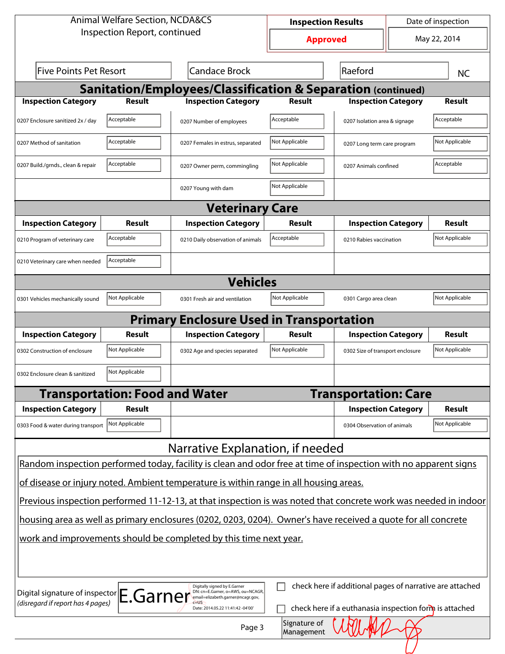| <b>Animal Welfare Section, NCDA&amp;CS</b>                                                                                                                                                                                                         |                                                                                                                 |                                                                         | <b>Inspection Results</b>  |                                  |  | Date of inspection |  |
|----------------------------------------------------------------------------------------------------------------------------------------------------------------------------------------------------------------------------------------------------|-----------------------------------------------------------------------------------------------------------------|-------------------------------------------------------------------------|----------------------------|----------------------------------|--|--------------------|--|
| Inspection Report, continued                                                                                                                                                                                                                       |                                                                                                                 | <b>Approved</b>                                                         |                            | May 22, 2014                     |  |                    |  |
| <b>Five Points Pet Resort</b>                                                                                                                                                                                                                      |                                                                                                                 | <b>Candace Brock</b>                                                    |                            | Raeford                          |  | <b>NC</b>          |  |
|                                                                                                                                                                                                                                                    |                                                                                                                 | <b>Sanitation/Employees/Classification &amp; Separation (continued)</b> |                            |                                  |  |                    |  |
| <b>Inspection Category</b>                                                                                                                                                                                                                         | Result                                                                                                          | <b>Inspection Category</b>                                              | Result                     | <b>Inspection Category</b>       |  | <b>Result</b>      |  |
| 0207 Enclosure sanitized 2x / day                                                                                                                                                                                                                  | Acceptable                                                                                                      | 0207 Number of employees                                                | Acceptable                 | 0207 Isolation area & signage    |  | Acceptable         |  |
| 0207 Method of sanitation                                                                                                                                                                                                                          | Acceptable                                                                                                      | 0207 Females in estrus, separated                                       | Not Applicable             | 0207 Long term care program      |  | Not Applicable     |  |
| 0207 Build./grnds., clean & repair                                                                                                                                                                                                                 | Acceptable                                                                                                      | 0207 Owner perm, commingling                                            | Not Applicable             | 0207 Animals confined            |  | Acceptable         |  |
|                                                                                                                                                                                                                                                    |                                                                                                                 | 0207 Young with dam                                                     | Not Applicable             |                                  |  |                    |  |
|                                                                                                                                                                                                                                                    |                                                                                                                 | <b>Veterinary Care</b>                                                  |                            |                                  |  |                    |  |
| <b>Inspection Category</b>                                                                                                                                                                                                                         | Result                                                                                                          | <b>Inspection Category</b>                                              | <b>Result</b>              | <b>Inspection Category</b>       |  | Result             |  |
| 0210 Program of veterinary care                                                                                                                                                                                                                    | Acceptable                                                                                                      | 0210 Daily observation of animals                                       | Acceptable                 | 0210 Rabies vaccination          |  | Not Applicable     |  |
| 0210 Veterinary care when needed                                                                                                                                                                                                                   | Acceptable                                                                                                      |                                                                         |                            |                                  |  |                    |  |
| <b>Vehicles</b>                                                                                                                                                                                                                                    |                                                                                                                 |                                                                         |                            |                                  |  |                    |  |
| 0301 Vehicles mechanically sound                                                                                                                                                                                                                   | Not Applicable                                                                                                  | 0301 Fresh air and ventilation                                          | Not Applicable             | 0301 Cargo area clean            |  | Not Applicable     |  |
|                                                                                                                                                                                                                                                    |                                                                                                                 | <b>Primary Enclosure Used in Transportation</b>                         |                            |                                  |  |                    |  |
| <b>Inspection Category</b>                                                                                                                                                                                                                         | Result                                                                                                          | <b>Inspection Category</b>                                              | <b>Result</b>              | <b>Inspection Category</b>       |  | <b>Result</b>      |  |
| 0302 Construction of enclosure                                                                                                                                                                                                                     | Not Applicable                                                                                                  | 0302 Age and species separated                                          | Not Applicable             | 0302 Size of transport enclosure |  | Not Applicable     |  |
| 0302 Enclosure clean & sanitized                                                                                                                                                                                                                   | Not Applicable                                                                                                  |                                                                         |                            |                                  |  |                    |  |
|                                                                                                                                                                                                                                                    | <b>Transportation: Food and Water</b>                                                                           |                                                                         |                            | <b>Transportation: Care</b>      |  |                    |  |
| <b>Inspection Category</b>                                                                                                                                                                                                                         | <b>Result</b>                                                                                                   |                                                                         |                            | <b>Inspection Category</b>       |  | Result             |  |
| 0303 Food & water during transport                                                                                                                                                                                                                 | Not Applicable                                                                                                  |                                                                         |                            | 0304 Observation of animals      |  | Not Applicable     |  |
|                                                                                                                                                                                                                                                    |                                                                                                                 | Narrative Explanation, if needed                                        |                            |                                  |  |                    |  |
|                                                                                                                                                                                                                                                    | Random inspection performed today, facility is clean and odor free at time of inspection with no apparent signs |                                                                         |                            |                                  |  |                    |  |
|                                                                                                                                                                                                                                                    | of disease or injury noted. Ambient temperature is within range in all housing areas.                           |                                                                         |                            |                                  |  |                    |  |
| Previous inspection performed 11-12-13, at that inspection is was noted that concrete work was needed in indoor                                                                                                                                    |                                                                                                                 |                                                                         |                            |                                  |  |                    |  |
| housing area as well as primary enclosures (0202, 0203, 0204). Owner's have received a quote for all concrete                                                                                                                                      |                                                                                                                 |                                                                         |                            |                                  |  |                    |  |
| work and improvements should be completed by this time next year.                                                                                                                                                                                  |                                                                                                                 |                                                                         |                            |                                  |  |                    |  |
|                                                                                                                                                                                                                                                    |                                                                                                                 |                                                                         |                            |                                  |  |                    |  |
| check here if additional pages of narrative are attached<br>Digitally signed by E.Garner<br>DN: cn=E.Garner, o=AWS, ou=NCAGR,<br>Digital signature of inspector E.Garner<br>email=elizabeth.garner@ncagr.gov,<br>(disregard if report has 4 pages) |                                                                                                                 |                                                                         |                            |                                  |  |                    |  |
| check here if a euthanasia inspection form is attached<br>Date: 2014.05.22 11:41:42 -04'00'                                                                                                                                                        |                                                                                                                 |                                                                         |                            |                                  |  |                    |  |
|                                                                                                                                                                                                                                                    |                                                                                                                 | Page 3                                                                  | Signature of<br>Management |                                  |  |                    |  |
|                                                                                                                                                                                                                                                    |                                                                                                                 |                                                                         |                            |                                  |  |                    |  |